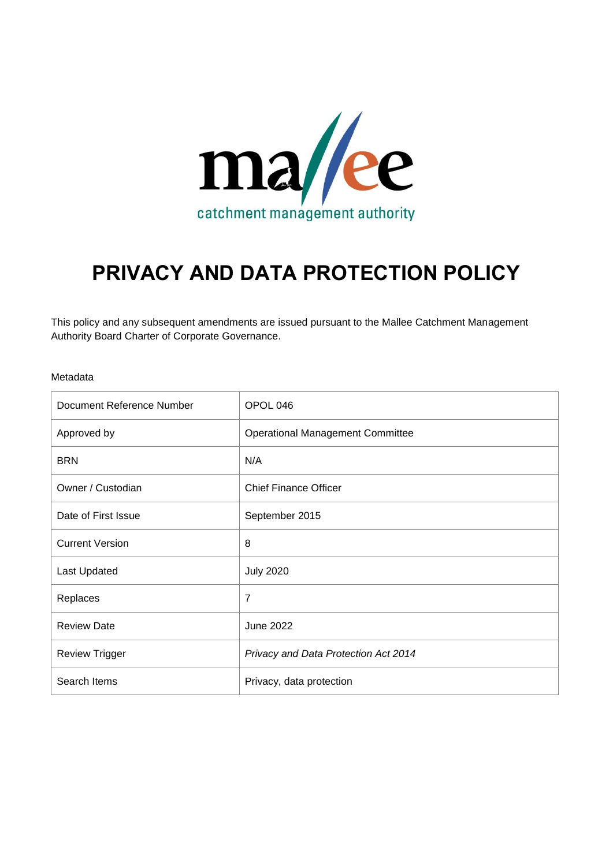

# **PRIVACY AND DATA PROTECTION POLICY**

This policy and any subsequent amendments are issued pursuant to the Mallee Catchment Management Authority Board Charter of Corporate Governance.

#### Metadata

| Document Reference Number | OPOL 046                                |
|---------------------------|-----------------------------------------|
| Approved by               | <b>Operational Management Committee</b> |
| <b>BRN</b>                | N/A                                     |
| Owner / Custodian         | <b>Chief Finance Officer</b>            |
| Date of First Issue       | September 2015                          |
| <b>Current Version</b>    | 8                                       |
| Last Updated              | <b>July 2020</b>                        |
| Replaces                  | 7                                       |
| <b>Review Date</b>        | <b>June 2022</b>                        |
| <b>Review Trigger</b>     | Privacy and Data Protection Act 2014    |
| Search Items              | Privacy, data protection                |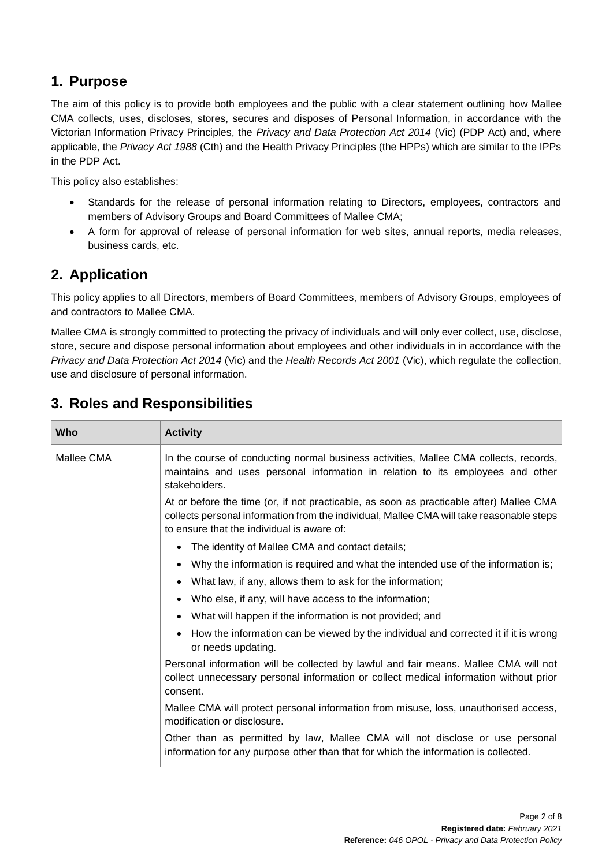## **1. Purpose**

The aim of this policy is to provide both employees and the public with a clear statement outlining how Mallee CMA collects, uses, discloses, stores, secures and disposes of Personal Information, in accordance with the Victorian Information Privacy Principles, the *Privacy and Data Protection Act 2014* (Vic) (PDP Act) and, where applicable, the *Privacy Act 1988* (Cth) and the Health Privacy Principles (the HPPs) which are similar to the IPPs in the PDP Act.

This policy also establishes:

- Standards for the release of personal information relating to Directors, employees, contractors and members of Advisory Groups and Board Committees of Mallee CMA;
- A form for approval of release of personal information for web sites, annual reports, media releases, business cards, etc.

## **2. Application**

This policy applies to all Directors, members of Board Committees, members of Advisory Groups, employees of and contractors to Mallee CMA.

Mallee CMA is strongly committed to protecting the privacy of individuals and will only ever collect, use, disclose, store, secure and dispose personal information about employees and other individuals in in accordance with the *Privacy and Data Protection Act 2014* (Vic) and the *Health Records Act 2001* (Vic), which regulate the collection, use and disclosure of personal information.

| 3. Roles and Responsibilities |  |
|-------------------------------|--|
|                               |  |

| <b>Who</b> | <b>Activity</b>                                                                                                                                                                                                                   |  |
|------------|-----------------------------------------------------------------------------------------------------------------------------------------------------------------------------------------------------------------------------------|--|
| Mallee CMA | In the course of conducting normal business activities, Mallee CMA collects, records,<br>maintains and uses personal information in relation to its employees and other<br>stakeholders.                                          |  |
|            | At or before the time (or, if not practicable, as soon as practicable after) Mallee CMA<br>collects personal information from the individual, Mallee CMA will take reasonable steps<br>to ensure that the individual is aware of: |  |
|            | The identity of Mallee CMA and contact details;<br>٠                                                                                                                                                                              |  |
|            | Why the information is required and what the intended use of the information is;<br>٠                                                                                                                                             |  |
|            | What law, if any, allows them to ask for the information;<br>$\bullet$                                                                                                                                                            |  |
|            | Who else, if any, will have access to the information;<br>$\bullet$                                                                                                                                                               |  |
|            | What will happen if the information is not provided; and<br>$\bullet$                                                                                                                                                             |  |
|            | How the information can be viewed by the individual and corrected it if it is wrong<br>$\bullet$<br>or needs updating.                                                                                                            |  |
|            | Personal information will be collected by lawful and fair means. Mallee CMA will not<br>collect unnecessary personal information or collect medical information without prior<br>consent.                                         |  |
|            | Mallee CMA will protect personal information from misuse, loss, unauthorised access,<br>modification or disclosure.                                                                                                               |  |
|            | Other than as permitted by law, Mallee CMA will not disclose or use personal<br>information for any purpose other than that for which the information is collected.                                                               |  |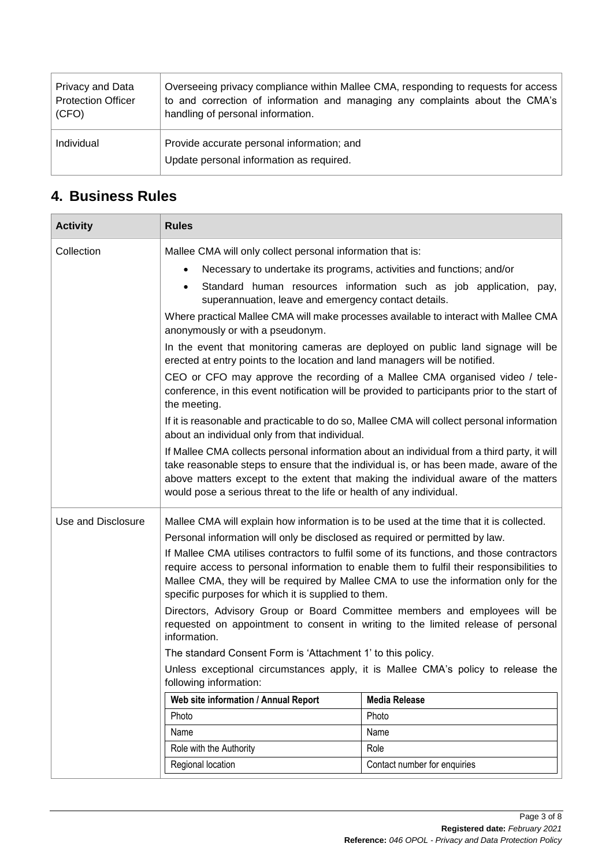| Privacy and Data          | Overseeing privacy compliance within Mallee CMA, responding to requests for access     |
|---------------------------|----------------------------------------------------------------------------------------|
| <b>Protection Officer</b> | to and correction of information and managing any complaints about the CMA's           |
| (CFO)                     | handling of personal information.                                                      |
| Individual                | Provide accurate personal information; and<br>Update personal information as required. |

# **4. Business Rules**

| <b>Activity</b>                                                                                                                                                                 | <b>Rules</b>                                                                                                                                                                                                                                                                                                                                                                                                                                                                                                    |                                                                                                                                                                                                                                                                             |
|---------------------------------------------------------------------------------------------------------------------------------------------------------------------------------|-----------------------------------------------------------------------------------------------------------------------------------------------------------------------------------------------------------------------------------------------------------------------------------------------------------------------------------------------------------------------------------------------------------------------------------------------------------------------------------------------------------------|-----------------------------------------------------------------------------------------------------------------------------------------------------------------------------------------------------------------------------------------------------------------------------|
| Collection                                                                                                                                                                      | Mallee CMA will only collect personal information that is:                                                                                                                                                                                                                                                                                                                                                                                                                                                      |                                                                                                                                                                                                                                                                             |
|                                                                                                                                                                                 | Necessary to undertake its programs, activities and functions; and/or<br>$\bullet$                                                                                                                                                                                                                                                                                                                                                                                                                              |                                                                                                                                                                                                                                                                             |
|                                                                                                                                                                                 | superannuation, leave and emergency contact details.                                                                                                                                                                                                                                                                                                                                                                                                                                                            | Standard human resources information such as job application, pay,                                                                                                                                                                                                          |
|                                                                                                                                                                                 | Where practical Mallee CMA will make processes available to interact with Mallee CMA<br>anonymously or with a pseudonym.                                                                                                                                                                                                                                                                                                                                                                                        |                                                                                                                                                                                                                                                                             |
|                                                                                                                                                                                 | In the event that monitoring cameras are deployed on public land signage will be<br>erected at entry points to the location and land managers will be notified.                                                                                                                                                                                                                                                                                                                                                 |                                                                                                                                                                                                                                                                             |
|                                                                                                                                                                                 | the meeting.                                                                                                                                                                                                                                                                                                                                                                                                                                                                                                    | CEO or CFO may approve the recording of a Mallee CMA organised video / tele-<br>conference, in this event notification will be provided to participants prior to the start of                                                                                               |
|                                                                                                                                                                                 | If it is reasonable and practicable to do so, Mallee CMA will collect personal information<br>about an individual only from that individual.                                                                                                                                                                                                                                                                                                                                                                    |                                                                                                                                                                                                                                                                             |
|                                                                                                                                                                                 | would pose a serious threat to the life or health of any individual.                                                                                                                                                                                                                                                                                                                                                                                                                                            | If Mallee CMA collects personal information about an individual from a third party, it will<br>take reasonable steps to ensure that the individual is, or has been made, aware of the<br>above matters except to the extent that making the individual aware of the matters |
| Use and Disclosure                                                                                                                                                              | Mallee CMA will explain how information is to be used at the time that it is collected.<br>Personal information will only be disclosed as required or permitted by law.<br>If Mallee CMA utilises contractors to fulfil some of its functions, and those contractors<br>require access to personal information to enable them to fulfil their responsibilities to<br>Mallee CMA, they will be required by Mallee CMA to use the information only for the<br>specific purposes for which it is supplied to them. |                                                                                                                                                                                                                                                                             |
|                                                                                                                                                                                 |                                                                                                                                                                                                                                                                                                                                                                                                                                                                                                                 |                                                                                                                                                                                                                                                                             |
| Directors, Advisory Group or Board Committee members and employees will be<br>requested on appointment to consent in writing to the limited release of personal<br>information. |                                                                                                                                                                                                                                                                                                                                                                                                                                                                                                                 |                                                                                                                                                                                                                                                                             |
|                                                                                                                                                                                 | The standard Consent Form is 'Attachment 1' to this policy.                                                                                                                                                                                                                                                                                                                                                                                                                                                     |                                                                                                                                                                                                                                                                             |
|                                                                                                                                                                                 | Unless exceptional circumstances apply, it is Mallee CMA's policy to release the<br>following information:                                                                                                                                                                                                                                                                                                                                                                                                      |                                                                                                                                                                                                                                                                             |
|                                                                                                                                                                                 | Web site information / Annual Report                                                                                                                                                                                                                                                                                                                                                                                                                                                                            | <b>Media Release</b>                                                                                                                                                                                                                                                        |
|                                                                                                                                                                                 | Photo                                                                                                                                                                                                                                                                                                                                                                                                                                                                                                           | Photo                                                                                                                                                                                                                                                                       |
|                                                                                                                                                                                 | Name                                                                                                                                                                                                                                                                                                                                                                                                                                                                                                            | Name                                                                                                                                                                                                                                                                        |
|                                                                                                                                                                                 | Role with the Authority                                                                                                                                                                                                                                                                                                                                                                                                                                                                                         | Role                                                                                                                                                                                                                                                                        |
|                                                                                                                                                                                 | Regional location                                                                                                                                                                                                                                                                                                                                                                                                                                                                                               | Contact number for enquiries                                                                                                                                                                                                                                                |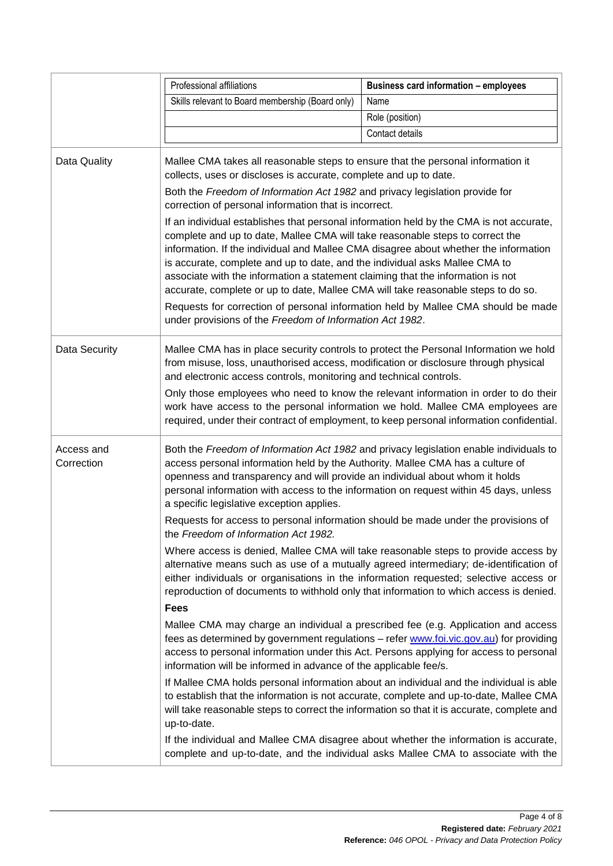|                          | Professional affiliations                                                                                                                                                                                                                                                                                                                                                                                                                                                                                               | <b>Business card information - employees</b>                                                                                                                                                                                                                                                                                                                   |
|--------------------------|-------------------------------------------------------------------------------------------------------------------------------------------------------------------------------------------------------------------------------------------------------------------------------------------------------------------------------------------------------------------------------------------------------------------------------------------------------------------------------------------------------------------------|----------------------------------------------------------------------------------------------------------------------------------------------------------------------------------------------------------------------------------------------------------------------------------------------------------------------------------------------------------------|
|                          | Skills relevant to Board membership (Board only)                                                                                                                                                                                                                                                                                                                                                                                                                                                                        | Name                                                                                                                                                                                                                                                                                                                                                           |
|                          |                                                                                                                                                                                                                                                                                                                                                                                                                                                                                                                         | Role (position)                                                                                                                                                                                                                                                                                                                                                |
|                          |                                                                                                                                                                                                                                                                                                                                                                                                                                                                                                                         | Contact details                                                                                                                                                                                                                                                                                                                                                |
| Data Quality             | Mallee CMA takes all reasonable steps to ensure that the personal information it<br>collects, uses or discloses is accurate, complete and up to date.<br>Both the Freedom of Information Act 1982 and privacy legislation provide for<br>correction of personal information that is incorrect.<br>If an individual establishes that personal information held by the CMA is not accurate,<br>complete and up to date, Mallee CMA will take reasonable steps to correct the                                              |                                                                                                                                                                                                                                                                                                                                                                |
|                          | information. If the individual and Mallee CMA disagree about whether the information<br>is accurate, complete and up to date, and the individual asks Mallee CMA to<br>associate with the information a statement claiming that the information is not<br>accurate, complete or up to date, Mallee CMA will take reasonable steps to do so.<br>under provisions of the Freedom of Information Act 1982.                                                                                                                 | Requests for correction of personal information held by Mallee CMA should be made                                                                                                                                                                                                                                                                              |
| Data Security            | Mallee CMA has in place security controls to protect the Personal Information we hold<br>from misuse, loss, unauthorised access, modification or disclosure through physical<br>and electronic access controls, monitoring and technical controls.<br>Only those employees who need to know the relevant information in order to do their<br>work have access to the personal information we hold. Mallee CMA employees are<br>required, under their contract of employment, to keep personal information confidential. |                                                                                                                                                                                                                                                                                                                                                                |
| Access and<br>Correction | Both the Freedom of Information Act 1982 and privacy legislation enable individuals to<br>access personal information held by the Authority. Mallee CMA has a culture of<br>openness and transparency and will provide an individual about whom it holds<br>personal information with access to the information on request within 45 days, unless<br>a specific legislative exception applies.                                                                                                                          |                                                                                                                                                                                                                                                                                                                                                                |
|                          | Requests for access to personal information should be made under the provisions of<br>the Freedom of Information Act 1982.                                                                                                                                                                                                                                                                                                                                                                                              |                                                                                                                                                                                                                                                                                                                                                                |
|                          |                                                                                                                                                                                                                                                                                                                                                                                                                                                                                                                         | Where access is denied, Mallee CMA will take reasonable steps to provide access by<br>alternative means such as use of a mutually agreed intermediary; de-identification of<br>either individuals or organisations in the information requested; selective access or<br>reproduction of documents to withhold only that information to which access is denied. |
|                          | <b>Fees</b><br>information will be informed in advance of the applicable fee/s.                                                                                                                                                                                                                                                                                                                                                                                                                                         | Mallee CMA may charge an individual a prescribed fee (e.g. Application and access<br>fees as determined by government regulations - refer www.foi.vic.gov.au) for providing<br>access to personal information under this Act. Persons applying for access to personal                                                                                          |
|                          | up-to-date.                                                                                                                                                                                                                                                                                                                                                                                                                                                                                                             | If Mallee CMA holds personal information about an individual and the individual is able<br>to establish that the information is not accurate, complete and up-to-date, Mallee CMA<br>will take reasonable steps to correct the information so that it is accurate, complete and                                                                                |
|                          |                                                                                                                                                                                                                                                                                                                                                                                                                                                                                                                         | If the individual and Mallee CMA disagree about whether the information is accurate,<br>complete and up-to-date, and the individual asks Mallee CMA to associate with the                                                                                                                                                                                      |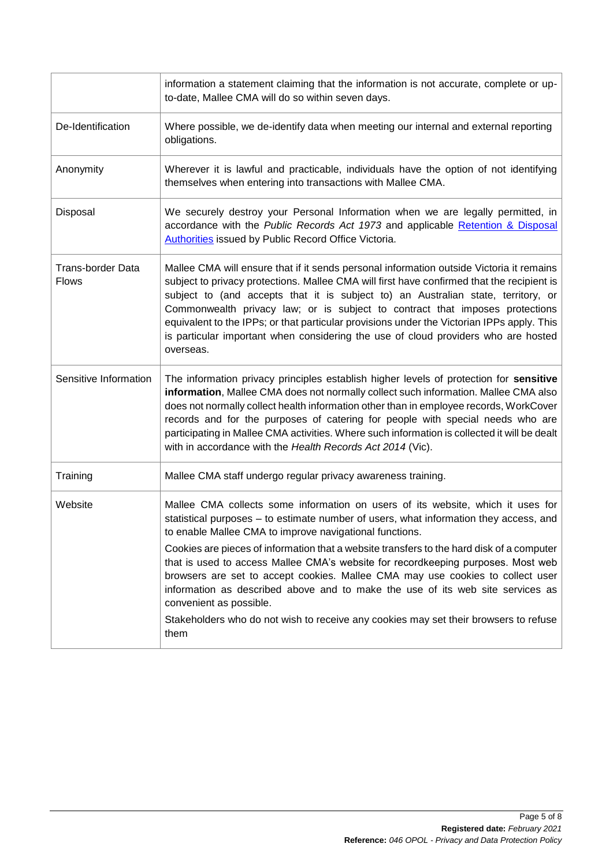|                                          | information a statement claiming that the information is not accurate, complete or up-<br>to-date, Mallee CMA will do so within seven days.                                                                                                                                                                                                                                                                                                                                                                                                                                                                                                                                                                         |
|------------------------------------------|---------------------------------------------------------------------------------------------------------------------------------------------------------------------------------------------------------------------------------------------------------------------------------------------------------------------------------------------------------------------------------------------------------------------------------------------------------------------------------------------------------------------------------------------------------------------------------------------------------------------------------------------------------------------------------------------------------------------|
| De-Identification                        | Where possible, we de-identify data when meeting our internal and external reporting<br>obligations.                                                                                                                                                                                                                                                                                                                                                                                                                                                                                                                                                                                                                |
| Anonymity                                | Wherever it is lawful and practicable, individuals have the option of not identifying<br>themselves when entering into transactions with Mallee CMA.                                                                                                                                                                                                                                                                                                                                                                                                                                                                                                                                                                |
| Disposal                                 | We securely destroy your Personal Information when we are legally permitted, in<br>accordance with the Public Records Act 1973 and applicable Retention & Disposal<br><b>Authorities</b> issued by Public Record Office Victoria.                                                                                                                                                                                                                                                                                                                                                                                                                                                                                   |
| <b>Trans-border Data</b><br><b>Flows</b> | Mallee CMA will ensure that if it sends personal information outside Victoria it remains<br>subject to privacy protections. Mallee CMA will first have confirmed that the recipient is<br>subject to (and accepts that it is subject to) an Australian state, territory, or<br>Commonwealth privacy law; or is subject to contract that imposes protections<br>equivalent to the IPPs; or that particular provisions under the Victorian IPPs apply. This<br>is particular important when considering the use of cloud providers who are hosted<br>overseas.                                                                                                                                                        |
| Sensitive Information                    | The information privacy principles establish higher levels of protection for sensitive<br>information, Mallee CMA does not normally collect such information. Mallee CMA also<br>does not normally collect health information other than in employee records, WorkCover<br>records and for the purposes of catering for people with special needs who are<br>participating in Mallee CMA activities. Where such information is collected it will be dealt<br>with in accordance with the Health Records Act 2014 (Vic).                                                                                                                                                                                             |
| Training                                 | Mallee CMA staff undergo regular privacy awareness training.                                                                                                                                                                                                                                                                                                                                                                                                                                                                                                                                                                                                                                                        |
| Website                                  | Mallee CMA collects some information on users of its website, which it uses for<br>statistical purposes - to estimate number of users, what information they access, and<br>to enable Mallee CMA to improve navigational functions.<br>Cookies are pieces of information that a website transfers to the hard disk of a computer<br>that is used to access Mallee CMA's website for recordkeeping purposes. Most web<br>browsers are set to accept cookies. Mallee CMA may use cookies to collect user<br>information as described above and to make the use of its web site services as<br>convenient as possible.<br>Stakeholders who do not wish to receive any cookies may set their browsers to refuse<br>them |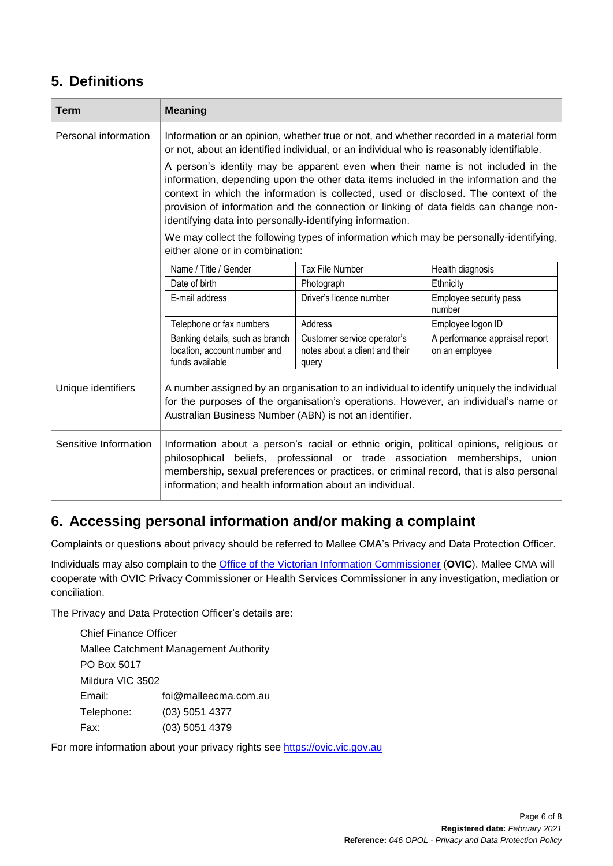# **5. Definitions**

| <b>Term</b>           | <b>Meaning</b>                                                                                                                                                                                                                                                                                                              |                                                                        |                                                  |
|-----------------------|-----------------------------------------------------------------------------------------------------------------------------------------------------------------------------------------------------------------------------------------------------------------------------------------------------------------------------|------------------------------------------------------------------------|--------------------------------------------------|
| Personal information  | Information or an opinion, whether true or not, and whether recorded in a material form<br>or not, about an identified individual, or an individual who is reasonably identifiable.                                                                                                                                         |                                                                        |                                                  |
|                       | A person's identity may be apparent even when their name is not included in the<br>information, depending upon the other data items included in the information and the<br>context in which the information is collected, used or disclosed. The context of the                                                             |                                                                        |                                                  |
|                       | provision of information and the connection or linking of data fields can change non-<br>identifying data into personally-identifying information.                                                                                                                                                                          |                                                                        |                                                  |
|                       | We may collect the following types of information which may be personally-identifying,<br>either alone or in combination:                                                                                                                                                                                                   |                                                                        |                                                  |
|                       | Name / Title / Gender                                                                                                                                                                                                                                                                                                       | <b>Tax File Number</b>                                                 | Health diagnosis                                 |
|                       | Date of birth                                                                                                                                                                                                                                                                                                               | Photograph                                                             | Ethnicity                                        |
|                       | E-mail address                                                                                                                                                                                                                                                                                                              | Driver's licence number                                                | Employee security pass<br>number                 |
|                       | Telephone or fax numbers                                                                                                                                                                                                                                                                                                    | Address                                                                | Employee logon ID                                |
|                       | Banking details, such as branch<br>location, account number and<br>funds available                                                                                                                                                                                                                                          | Customer service operator's<br>notes about a client and their<br>query | A performance appraisal report<br>on an employee |
| Unique identifiers    | A number assigned by an organisation to an individual to identify uniquely the individual<br>for the purposes of the organisation's operations. However, an individual's name or<br>Australian Business Number (ABN) is not an identifier.                                                                                  |                                                                        |                                                  |
| Sensitive Information | Information about a person's racial or ethnic origin, political opinions, religious or<br>philosophical beliefs, professional or trade association memberships, union<br>membership, sexual preferences or practices, or criminal record, that is also personal<br>information; and health information about an individual. |                                                                        |                                                  |

## **6. Accessing personal information and/or making a complaint**

Complaints or questions about privacy should be referred to Mallee CMA's Privacy and Data Protection Officer.

Individuals may also complain to the [Office of the Victorian Information Commissioner](https://ovic.vic.gov.au/privacy/for-the-public/complaints/) (**OVIC**). Mallee CMA will cooperate with OVIC Privacy Commissioner or Health Services Commissioner in any investigation, mediation or conciliation.

The Privacy and Data Protection Officer's details are:

| <b>Chief Finance Officer</b>          |                      |
|---------------------------------------|----------------------|
| Mallee Catchment Management Authority |                      |
| PO Box 5017                           |                      |
| Mildura VIC 3502                      |                      |
| Email:                                | foi@malleecma.com.au |
| Telephone:                            | $(03)$ 5051 4377     |
| Fax:                                  | (03) 5051 4379       |

For more information about your privacy rights see [https://ovic.vic.gov.au](https://ovic.vic.gov.au/privacy/for-the-public/your-privacy-rights/)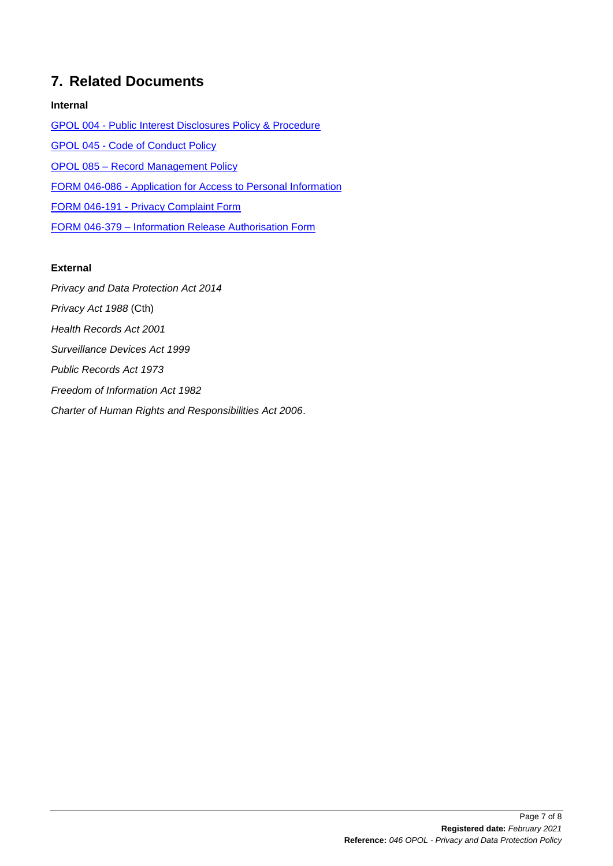## **7. Related Documents**

### **Internal**

GPOL 004 - [Public Interest Disclosures Policy & Procedure](https://malleecma.t1cloud.com/T1Default/CiAnywhere/Web/MALLEECMA/RedirectToFunction?sk.DocumentSetId=202&f=%24EMC.DOC.PROP.MNT&suite=ECM&h=i3OHKbbwee&t=1227DF42) GPOL 045 - [Code of Conduct Policy](https://malleecma.t1cloud.com/T1Default/CiAnywhere/Web/MALLEECMA/RedirectToFunction?sk.DocumentSetId=276&f=%24EMC.DOC.PROP.MNT&suite=ECM&h=tBe4nG74Fi&t=1227DF5A) OPOL 085 – [Record Management Policy](https://malleecma.t1cloud.com/T1Default/CiAnywhere/Web/MALLEECMA/RedirectToFunction?sk.DocumentSetId=16249&f=%24EMC.DOC.PROP.MNT&suite=ECM&h=7uFPytTOZR&t=1227DFA6) FORM 046-086 - [Application for Access to Personal Information](https://malleecma.t1cloud.com/T1Default/CiAnywhere/Web/MALLEECMA/RedirectToFunction?sk.DocumentSetId=118&f=%24EMC.DOC.PROP.MNT&suite=ECM&h=76OejoZtZs&t=1227DFCC) FORM 046-191 - [Privacy Complaint Form](https://malleecma.t1cloud.com/T1Default/CiAnywhere/Web/MALLEECMA/RedirectToFunction?sk.DocumentSetId=3697&f=%24EMC.DOC.PROP.MNT&suite=ECM&h=76OejoZtZs&t=1227DFCC) FORM 046-379 – [Information Release](https://malleecma.t1cloud.com/T1Default/CiAnywhere/Web/MALLEECMA/RedirectToFunction?sk.DocumentSetId=24947&f=%24EMC.DOC.PROP.MNT&suite=ECM&h=IWzrH4PRCS&t=1227E05C) Authorisation Form

### **External**

*Privacy and Data Protection Act 2014 Privacy Act 1988* (Cth) *Health Records Act 2001 Surveillance Devices Act 1999*

*Public Records Act 1973*

*Freedom of Information Act 1982*

*Charter of Human Rights and Responsibilities Act 2006*.